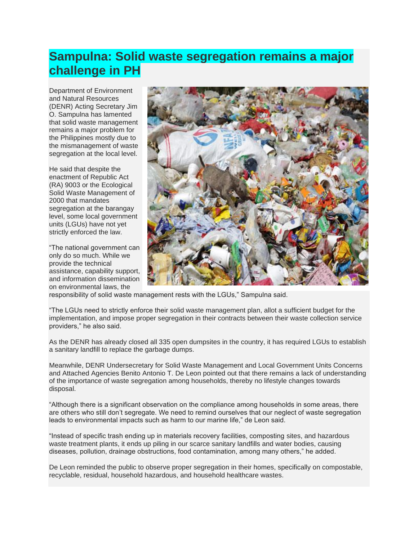## **Sampulna: Solid waste segregation remains a major challenge in PH**

Department of Environment and Natural Resources (DENR) Acting Secretary Jim O. Sampulna has lamented that solid waste management remains a major problem for the Philippines mostly due to the mismanagement of waste segregation at the local level.

He said that despite the enactment of Republic Act (RA) 9003 or the Ecological Solid Waste Management of 2000 that mandates segregation at the barangay level, some local government units (LGUs) have not yet strictly enforced the law.

"The national government can only do so much. While we provide the technical assistance, capability support, and information dissemination on environmental laws, the



responsibility of solid waste management rests with the LGUs," Sampulna said.

"The LGUs need to strictly enforce their solid waste management plan, allot a sufficient budget for the implementation, and impose proper segregation in their contracts between their waste collection service providers," he also said.

As the DENR has already closed all 335 open dumpsites in the country, it has required LGUs to establish a sanitary landfill to replace the garbage dumps.

Meanwhile, DENR Undersecretary for Solid Waste Management and Local Government Units Concerns and Attached Agencies Benito Antonio T. De Leon pointed out that there remains a lack of understanding of the importance of waste segregation among households, thereby no lifestyle changes towards disposal.

"Although there is a significant observation on the compliance among households in some areas, there are others who still don't segregate. We need to remind ourselves that our neglect of waste segregation leads to environmental impacts such as harm to our marine life," de Leon said.

"Instead of specific trash ending up in materials recovery facilities, composting sites, and hazardous waste treatment plants, it ends up piling in our scarce sanitary landfills and water bodies, causing diseases, pollution, drainage obstructions, food contamination, among many others," he added.

De Leon reminded the public to observe proper segregation in their homes, specifically on compostable, recyclable, residual, household hazardous, and household healthcare wastes.